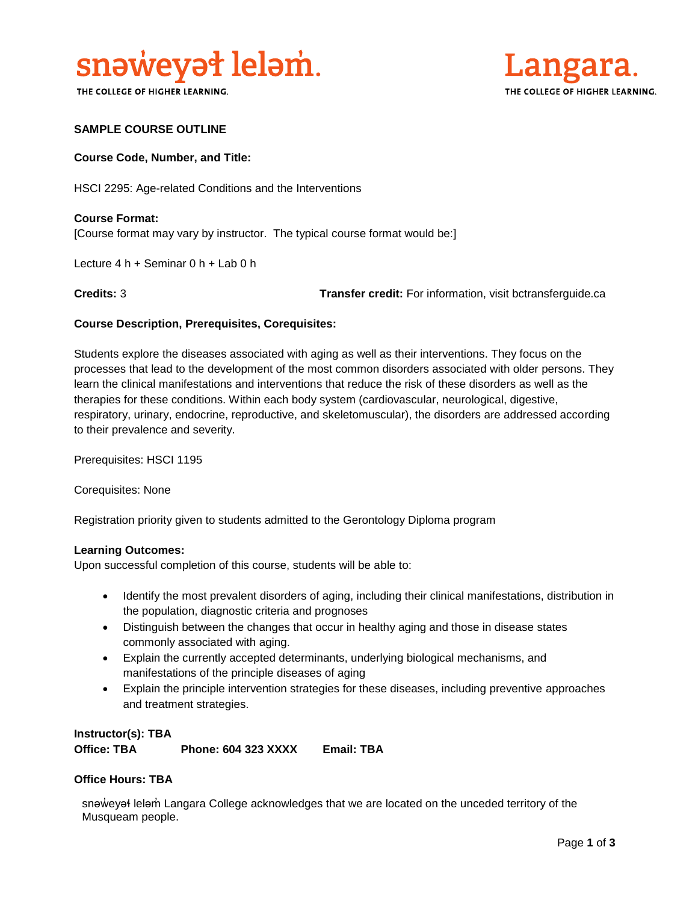

THE COLLEGE OF HIGHER LEARNING.



#### **SAMPLE COURSE OUTLINE**

#### **Course Code, Number, and Title:**

HSCI 2295: Age-related Conditions and the Interventions

**Course Format:** [Course format may vary by instructor. The typical course format would be:]

Lecture 4 h + Seminar 0 h + Lab 0 h

**Credits:** 3 **Transfer credit:** For information, visit bctransferguide.ca

#### **Course Description, Prerequisites, Corequisites:**

Students explore the diseases associated with aging as well as their interventions. They focus on the processes that lead to the development of the most common disorders associated with older persons. They learn the clinical manifestations and interventions that reduce the risk of these disorders as well as the therapies for these conditions. Within each body system (cardiovascular, neurological, digestive, respiratory, urinary, endocrine, reproductive, and skeletomuscular), the disorders are addressed according to their prevalence and severity.

Prerequisites: HSCI 1195

Corequisites: None

Registration priority given to students admitted to the Gerontology Diploma program

#### **Learning Outcomes:**

Upon successful completion of this course, students will be able to:

- Identify the most prevalent disorders of aging, including their clinical manifestations, distribution in the population, diagnostic criteria and prognoses
- Distinguish between the changes that occur in healthy aging and those in disease states commonly associated with aging.
- Explain the currently accepted determinants, underlying biological mechanisms, and manifestations of the principle diseases of aging
- Explain the principle intervention strategies for these diseases, including preventive approaches and treatment strategies.

**Instructor(s): TBA Office: TBA Phone: 604 323 XXXX Email: TBA**

#### **Office Hours: TBA**

snəweyał leləm Langara College acknowledges that we are located on the unceded territory of the Musqueam people.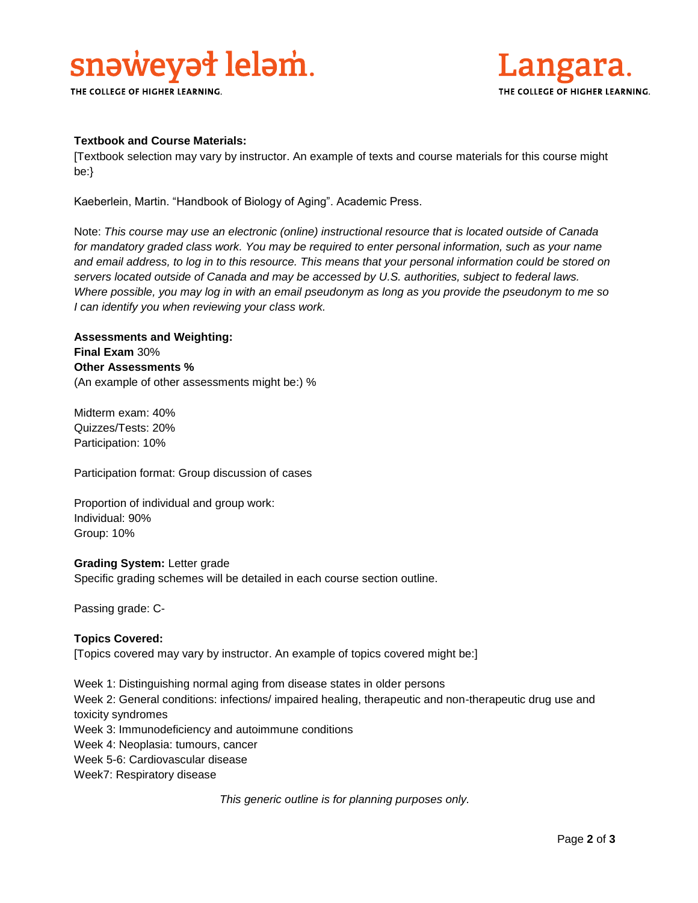# snaweyat lelam.

THE COLLEGE OF HIGHER LEARNING.



#### **Textbook and Course Materials:**

[Textbook selection may vary by instructor. An example of texts and course materials for this course might be:}

Kaeberlein, Martin. "Handbook of Biology of Aging". Academic Press.

Note: *This course may use an electronic (online) instructional resource that is located outside of Canada*  for mandatory graded class work. You may be required to enter personal information, such as your name *and email address, to log in to this resource. This means that your personal information could be stored on servers located outside of Canada and may be accessed by U.S. authorities, subject to federal laws. Where possible, you may log in with an email pseudonym as long as you provide the pseudonym to me so I can identify you when reviewing your class work.* 

### **Assessments and Weighting: Final Exam** 30% **Other Assessments %** (An example of other assessments might be:) %

Midterm exam: 40% Quizzes/Tests: 20% Participation: 10%

Participation format: Group discussion of cases

Proportion of individual and group work: Individual: 90% Group: 10%

#### **Grading System:** Letter grade

Specific grading schemes will be detailed in each course section outline.

Passing grade: C-

#### **Topics Covered:**

[Topics covered may vary by instructor. An example of topics covered might be:]

Week 1: Distinguishing normal aging from disease states in older persons Week 2: General conditions: infections/ impaired healing, therapeutic and non-therapeutic drug use and toxicity syndromes Week 3: Immunodeficiency and autoimmune conditions Week 4: Neoplasia: tumours, cancer Week 5-6: Cardiovascular disease Week7: Respiratory disease

*This generic outline is for planning purposes only.*